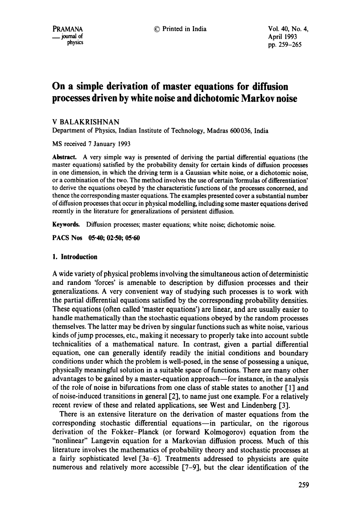# **On a simple derivation of master equations for diffusion processes driven by white noise and dichotomic Markov noise**

# V BALAKRISHNAN

Department of Physics, Indian Institute of Technology, Madras 600036, India

MS received 7 January 1993

Abstract. A very simple way is presented of deriving the partial differential equations (the master equations) satisfied by the probability density for certain kinds of **diffusion processes**  in one dimension, in which the driving term is a Gaussian white noise, or a dichotomic noise, or a combination of the two. The method involves the use of certain 'formulas of differentiation' to derive the equations obeyed by the characteristic functions of the processes concerned, and thence the corresponding master equations. The examples presented cover a substantial number of diffusion processes that occur in physical modelling, including some master equations derived recently in the literature for generalizations of persistent diffusion.

**Keywords.** Diffusion processes; master equations; white noise; dichotomic noise.

**PACS Nos 05.40; 02.50; 05.60** 

## **1. Introduction**

A wide variety of physical problems involving the simultaneous action of deterministic and random 'forces' is amenable to description by diffusion processes and their generalizations. A very convenient way of studying such processes is to work with the partial differential equations satisfied by the corresponding probability densities. These equations (often called 'master equations') are linear, and are usually easier to handle mathematically than the stochastic equations obeyed by the random processes themselves. The latter may be driven by singular functions such as white noise, various kinds of jump processes, etc., making it necessary to properly take into account subtle technicalities of a mathematical nature. In contrast, given a partial differential equation, one can generally identify readily the initial conditions and boundary conditions under which the problem is well-posed, in the sense of possessing a unique, physically meaningful solution in a suitable space of functions. There are many other advantages to be gained by a master-equation approach--for instance, in the analysis of the role of noise in bifurcations from one class of stable states to another  $\lceil 1 \rceil$  and of noise-induced transitions in general [2], to name just one example. For a relatively recent review of these and related applications, see West and Lindenberg [3].

There is an extensive literature on the derivation of master equations from the corresponding stochastic differential equations-in particular, on the rigorous derivation of the Fokker-Planck (or forward Kolmogorov) equation from the "nonlinear" Langevin equation for a Markovian diffusion process. Much of this literature involves the mathematics of probability theory and stochastic processes at a fairly sophisticated level [3a-6]. Treatments addressed to physicists are quite numerous and relatively more accessible [7-9], but the clear identification of the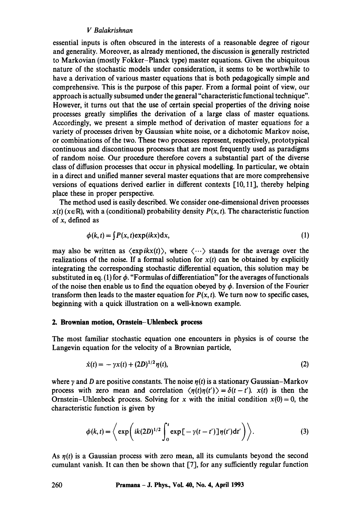## *V Balakrishnan*

essential inputs is often obscured in the interests of a reasonable degree of rigour and generality. Moreover, as already mentioned, the discussion is generally restricted to Markovian (mostly Fokker-Planck type) master equations. Given the ubiquitous nature of the stochastic models under consideration, it seems to be worthwhile to have a derivation of various master equations that is both pedagogically simple and comprehensive. This is the purpose of this paper. From a formal point of view, our approach is actually subsumed under the general "characteristic functional technique". However, it turns out that the use of certain special properties of the driving noise processes greatly simplifies the derivation of a large class of master equations. Accordingly, we present a simple method of derivation of master equations for a variety of processes driven by Gaussian white noise, or a dichotomic Markov noise, or combinations of the two. These two processes represent, respectively, prototypical continuous and discontinuous processes that are most frequently used as paradigms of random noise. Our procedure therefore covers a substantial part of the diverse class of diffusion processes that occur in physical modelling. In particular, we obtain in a direct and unified manner several master equations that are more comprehensive versions of equations derived earlier in different contexts [10, 11], thereby helping place these in proper perspective.

The method used is easily described. We consider one-dimensional driven processes  $x(t)$  ( $x \in \mathbb{R}$ ), with a (conditional) probability density  $P(x, t)$ . The characteristic function of x, defined as

$$
\phi(k,t) = \int P(x,t) \exp(ikx) dx, \tag{1}
$$

may also be written as  $\langle \exp ikx(t) \rangle$ , where  $\langle \cdots \rangle$  stands for the average over the realizations of the noise. If a formal solution for  $x(t)$  can be obtained by explicitly integrating the corresponding stochastic differential equation, this solution may be substituted in eq. (1) for  $\phi$ . "Formulas of differentiation" for the averages of functionals of the noise then enable us to find the equation obeyed by  $\phi$ . Inversion of the Fourier transform then leads to the master equation for  $P(x, t)$ . We turn now to specific cases, beginning with a quick illustration on a well-known example.

#### **2. Brownian motion, Ornstein-Uhlenbeck process**

The most familiar stochastic equation one encounters in physics is of course the Langevin equation for the velocity of a Brownian particle,

$$
\dot{x}(t) = -\gamma x(t) + (2D)^{1/2} \eta(t),\tag{2}
$$

where y and D are positive constants. The noise  $\eta(t)$  is a stationary Gaussian–Markov process with zero mean and correlation  $\langle \eta(t) \eta(t') \rangle = \delta(t-t')$ . *x(t)* is then the Ornstein-Uhlenbeck process. Solving for x with the initial condition  $x(0) = 0$ , the characteristic function is given by

$$
\phi(k,t) = \left\langle \exp\left( ik(2D)^{1/2} \int_0^t \exp\big[-\gamma(t-t')\big] \eta(t') dt' \right) \right\rangle. \tag{3}
$$

As  $n(t)$  is a Gaussian process with zero mean, all its cumulants beyond the second cumulant vanish. It can then be shown that [7], for any sufficiently regular function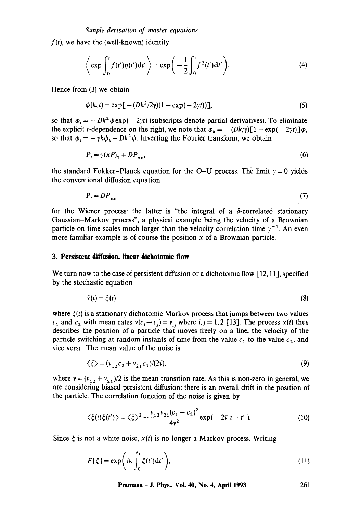$f(t)$ , we have the (well-known) identity

$$
\left\langle \exp \int_0^t f(t') \eta(t') dt' \right\rangle = \exp \bigg( -\frac{1}{2} \int_0^t f^2(t') dt' \bigg). \tag{4}
$$

Hence from (3) we obtain

$$
\phi(k,t) = \exp[-(Dk^2/2\gamma)(1 - \exp(-2\gamma t))],
$$
\n(5)

so that  $\phi_t = -Dk^2 \phi \exp(-2\gamma t)$  (subscripts denote partial derivatives). To eliminate the explicit t-dependence on the right, we note that  $\phi_k = -(Dk/\gamma)[1 - \exp(-2\gamma t)]\phi$ , so that  $\phi_t = - \gamma k \phi_k - Dk^2 \phi$ . Inverting the Fourier transform, we obtain

$$
P_t = \gamma (xP)_x + DP_{xx},\tag{6}
$$

the standard Fokker-Planck equation for the O-U process. The limit  $\gamma = 0$  yields the conventional diffusion equation

$$
P_t = DP_{xx} \tag{7}
$$

for the Wiener process: the latter is "the integral of a  $\delta$ -correlated stationary Gaussian-Markov process", a physical example being the velocity of a Brownian particle on time scales much larger than the velocity correlation time  $\gamma^{-1}$ . An even more familiar example is of course the position  $x$  of a Brownian particle.

#### **3. Persistent diffusion, linear dichotomic flow**

We turn now to the case of persistent diffusion or a dichotomic flow [12, 11], specified by the stochastic equation

$$
\dot{x}(t) = \zeta(t) \tag{8}
$$

where  $\xi(t)$  is a stationary dichotomic Markov process that jumps between two values  $c_1$  and  $c_2$  with mean rates  $v(c_i \rightarrow c_j) = v_{ij}$  where  $i, j = 1, 2$  [13]. The process  $x(t)$  thus describes the position of a particle that moves freely on a line, the velocity of the particle switching at random instants of time from the value  $c_1$  to the value  $c_2$ , and vice versa. The mean value of the noise is

$$
\langle \xi \rangle = (v_{12}c_2 + v_{21}c_1)/(2\vec{v}),\tag{9}
$$

where  $\bar{v} = (v_{12} + v_{21})/2$  is the mean transition rate. As this is non-zero in general, we are considering biased persistent diffusion: there is an overall drift in the position of the particle. The correlation function of the noise is given by

$$
\langle \xi(t)\xi(t')\rangle = \langle \xi \rangle^2 + \frac{v_{12}v_{21}(c_1 - c_2)^2}{4\bar{v}^2} \exp(-2\bar{v}|t - t'|). \tag{10}
$$

Since  $\xi$  is not a white noise,  $x(t)$  is no longer a Markov process. Writing

$$
F[\xi] = \exp\left(ik \int_0^t \xi(t')dt'\right),\tag{11}
$$

**Pramana - J. Phys., Vol. 40, No. 4, April 1993 261**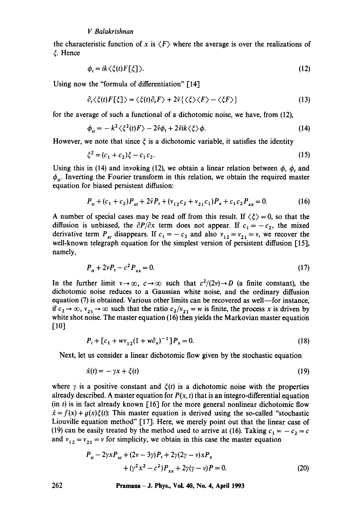# *V Balakrishnan*

the characteristic function of x is  $\langle F \rangle$  where the average is over the realizations of ~. Hence

$$
\phi_t = ik \langle \xi(t) F[\xi] \rangle. \tag{12}
$$

Using now the "formula of differentiation"  $[14]$ 

$$
\partial_t \langle \xi(t) F[\xi] \rangle = \langle \xi(t) \partial_t F \rangle + 2\bar{\nu} \{ \langle \xi \rangle \langle F \rangle - \langle \xi F \rangle \}
$$
(13)

for the average of such a functional of a dichotomic noise, we have, from (12),

$$
\phi_{tt} = -k^2 \langle \xi^2(t) F \rangle - 2\bar{\nu} \phi_t + 2\bar{\nu} i k \langle \xi \rangle \phi. \tag{14}
$$

However, we note that since  $\xi$  is a dichotomic variable, it satisfies the identity

$$
\xi^2 = (c_1 + c_2)\xi - c_1c_2. \tag{15}
$$

Using this in (14) and invoking (12), we obtain a linear relation between  $\phi$ ,  $\phi_t$  and  $\phi_{\mu}$ . Inverting the Fourier transform in this relation, we obtain the required master equation for biased persistent diffusion:

$$
P_{tt} + (c_1 + c_2)P_{xt} + 2\bar{v}P_t + (v_{12}c_2 + v_{21}c_1)P_x + c_1c_2P_{xx} = 0.
$$
 (16)

A number of special cases may be read off from this result. If  $\langle \xi \rangle = 0$ , so that the diffusion is unbiased, the  $\partial P/\partial x$  term does not appear. If  $c_1 = -c_2$ , the mixed derivative term  $P_{xt}$  disappears. If  $c_1 = -c_2$  and also  $v_{12} = v_{21} = v$ , we recover the well-known telegraph equation for the simplest version of persistent diffusion [15], namely,

$$
P_{tt} + 2vP_t - c^2 P_{xx} = 0. \tag{17}
$$

In the further limit  $v \to \infty$ ,  $c \to \infty$  such that  $c^2/(2v) \to D$  (a finite constant), the dichotomic noise reduces to a Gaussian white noise, and the ordinary diffusion equation (7) is obtained. Various other limits can be recovered as well—for instance, if  $c_2 \rightarrow \infty$ ,  $v_{21} \rightarrow \infty$  such that the ratio  $c_2/v_{21} = w$  is finite, the process x is driven by white shot noise. The master equation (16) then yields the Markovian master equation  $[10]$ 

$$
P_t + [c_1 + w v_{12}(1 + w \partial_x)^{-1}]P_x = 0.
$$
\n(18)

Next; let us consider a linear dichotomic flow given by the stochastic equation

$$
\dot{x}(t) = -\gamma x + \zeta(t) \tag{19}
$$

where  $\gamma$  is a positive constant and  $\zeta(t)$  is a dichotomic noise with the properties already described. A master equation for  $P(x, t)$  that is an integro-differential equation  $(in t)$  is in fact already known [16] for the more general nonlinear dichotomic flow  $\dot{x} = f(x) + g(x)\xi(t)$ : This master equation is derived using the so-called "stochastic Liouville equation method" [17]. Here, we merely point out that the linear case of (19) can be easily treated by the method used to arrive at (16). Taking  $c_1 = -c_2 = c$ and  $v_{12} = v_{21} = v$  for simplicity, we obtain in this case the master equation

$$
P_{tt} - 2\gamma x P_{xt} + (2v - 3\gamma) P_t + 2\gamma (2\gamma - v) x P_x + (\gamma^2 x^2 - c^2) P_{xx} + 2\gamma (\gamma - v) P = 0.
$$
 (20)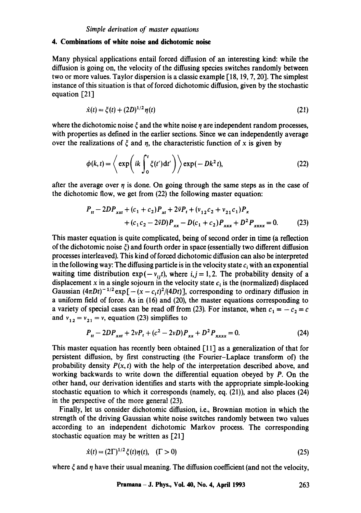#### **4. Combinations of white noise and dichotomic noise**

Many physical applications entail forced diffusion of an interesting kind: while the diffusion is going on, the velocity of the diffusing species switches randomly between two or more values. Taylor dispersion is a classic example  $[18, 19, 7, 20]$ . The simplest instance of this situation is that of forced dichotomic diffusion, given by the stochastic equation [21]

$$
\dot{x}(t) = \xi(t) + (2D)^{1/2} \eta(t) \tag{21}
$$

where the dichotomic noise  $\xi$  and the white noise  $\eta$  are independent random processes, with properties as defined in the earlier sections. Since we can independently average over the realizations of  $\xi$  and  $\eta$ , the characteristic function of x is given by

$$
\phi(k,t) = \left\langle \exp\left(ik \int_0^t \xi(t')dt'\right) \right\rangle \exp(-Dk^2t), \tag{22}
$$

after the average over  $\eta$  is done. On going through the same steps as in the case of the dichotomic flow, we get from (22) the following master equation:

$$
P_{tt} - 2DP_{xxt} + (c_1 + c_2)P_{xt} + 2\bar{\nu}P_t + (v_{12}c_2 + v_{21}c_1)P_x
$$
  
+  $(c_1c_2 - 2\bar{\nu}D)P_{xx} - D(c_1 + c_2)P_{xxx} + D^2P_{xxxx} = 0.$  (23)

This master equation is quite complicated, being of second order in time (a reflection of the dichotomic noise  $\xi$ ) and fourth order in space (essentially two different diffusion processes interleaved). This kind of forced dichotomic diffusion can also be interpreted in the following way: The diffusing particle is in the velocity state  $c_i$  with an exponential waiting time distribution  $exp(-v_{i},t)$ , where  $i, j = 1, 2$ . The probability density of a displacement x in a single sojourn in the velocity state  $c_i$  is the (normalized) displaced Gaussian  $(4\pi Dt)^{-1/2}$  exp $[-(x-c<sub>i</sub>t)^{2}/(4Dt)]$ , corresponding to ordinary diffusion in a uniform field of force. As in (16) and (20), the master equations corresponding to a variety of special cases can be read off from (23). For instance, when  $c_1 = -c_2 = c$ and  $v_{12} = v_{21} = v$ , equation (23) simplifies to

$$
P_{tt} - 2DP_{xxt} + 2vP_t + (c^2 - 2vD)P_{xx} + D^2P_{xxxx} = 0.
$$
 (24)

This master equation has recently been obtained  $\lceil 11 \rceil$  as a generalization of that for persistent diffusion, by first constructing (the Fourier-Laplace transform of) the probability density  $P(x, t)$  with the help of the interpretation described above, and working backwards to write down the differential equation obeyed by P. On the other hand, our derivation identifies and starts with the appropriate simple-looking stochastic equation to which it corresponds (namely, eq. (21)), and also places (24) in the perspective of the more general (23).

Finally, let us consider dichotomic diffusion, i.e., Brownian motion in which the strength of the driving Gaussian white noise switches randomly between two values according to an independent dichotomic Markov process. The corresponding stochastic equation may be written as [21]

$$
\dot{x}(t) = (2\Gamma)^{1/2} \xi(t) \eta(t), \quad (\Gamma > 0)
$$
\n(25)

where  $\xi$  and  $\eta$  have their usual meaning. The diffusion coefficient (and not the velocity,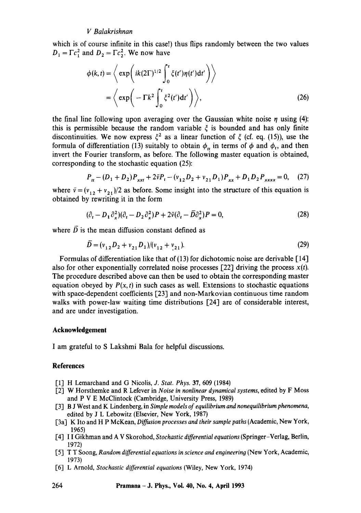# *V Balakrishnan*

which is of course infinite in this case!) thus flips randomly between the two values  $D_1 = \Gamma c_1^2$  and  $D_2 = \Gamma c_2^2$ . We now have

$$
\phi(k,t) = \left\langle \exp\left( ik(2\Gamma)^{1/2} \int_0^t \xi(t') \eta(t') dt' \right) \right\rangle
$$

$$
= \left\langle \exp\left( -\Gamma k^2 \int_0^t \xi^2(t') dt' \right) \right\rangle, \tag{26}
$$

the final line following upon averaging over the Gaussian white noise  $\eta$  using (4): this is permissible because the random variable  $\xi$  is bounded and has only finite discontinuities. We now express  $\xi^2$  as a linear function of  $\xi$  (cf. eq. (15)), use the formula of differentiation (13) suitably to obtain  $\phi_n$  in terms of  $\phi$  and  $\phi_t$ , and then invert the Fourier transform, as before. The following master equation is obtained, corresponding to the stochastic equation (25):

$$
P_{tt} - (D_1 + D_2)P_{xxt} + 2\bar{\nu}P_t - (\nu_{12}D_2 + \nu_{21}D_1)P_{xx} + D_1D_2P_{xxxx} = 0, \quad (27)
$$

where  $\bar{v} = (v_{12} + v_{21})/2$  as before. Some insight into the structure of this equation is obtained by rewriting it in the form

$$
(\partial_t - D_1 \partial_x^2)(\partial_t - D_2 \partial_x^2)P + 2\bar{\nu}(\partial_t - \bar{D}\partial_x^2)P = 0,
$$
\n(28)

where  $\overline{D}$  is the mean diffusion constant defined as

$$
D = (v_{12}D_2 + v_{21}D_1)/(v_{12} + v_{21}).
$$
\n(29)

Formulas of differentiation like that of (13) for dichotomic noise are derivable [14] also for other exponentially correlated noise processes  $[22]$  driving the process  $x(t)$ . The procedure described above can then be used to obtain the corresponding master equation obeyed by  $P(x, t)$  in such cases as well. Extensions to stochastic equations with space-dependent coefficients [23] and non-Markovian continuous time random walks with power-law waiting time distributions [24] are of considerable interest, and are under investigation.

#### **Acknowledgement**

I am grateful to S Lakshmi Bala for helpful discussions.

#### **References**

- [1] H Lemarchand and G Nicolis, *J. Stat. Phys.* 37, 609 (1984)
- [2] W Horsthemke and R Lefever in *Noise in nonlinear dynamical systems,* edited by F Moss and P V E McClintock (Cambridge, University Press, 1989)
- [3] B J West and K Lindenberg, in *Simple models of equilibrium and nonequilibrium phenomena,*  edited by J L Lebowitz (Elsevier, New York, 1987)
- [3a] K Ito and H P McKean, *Diffusion processes and their sample paths* (Academic, New York, 1965)
- [4] I I Gikhman and A V Skorohod, *Stochastic differential equations* (Springer-Verlag, Berlin, 1972)
- [5] T T Soong, *Random differential equations in science and engineering* (New York, Academic, 1973)
- [6] L Arnold, *Stochastic differential equations* (Wiley, New York, 1974)